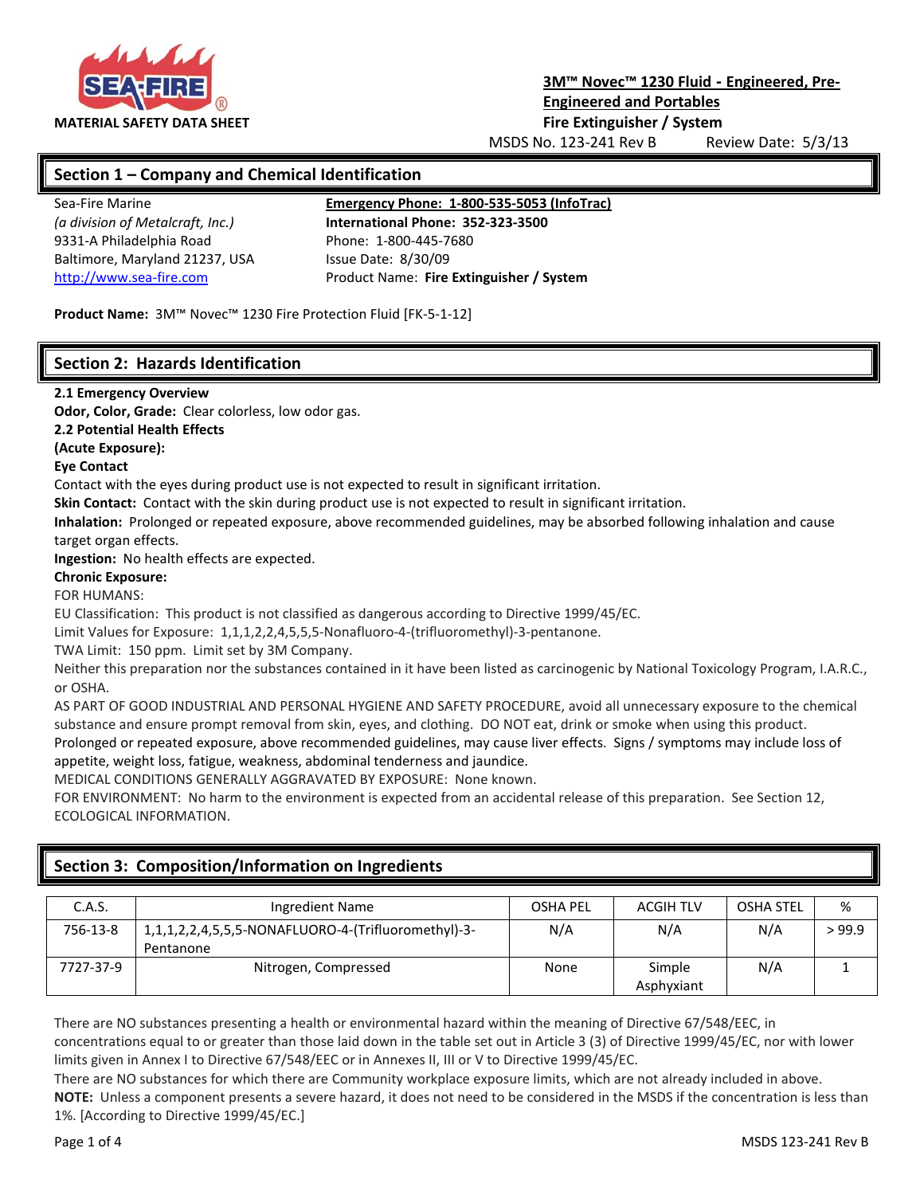

# **3M™ Novec™ 1230 Fluid - Engineered, Pre-Engineered and Portables**

MSDS No. 123-241 Rev B Review Date: 5/3/13

# **Section 1 – Company and Chemical Identification**

9331-A Philadelphia Road Phone: 1-800-445-7680 Baltimore, Maryland 21237, USA Issue Date: 8/30/09

Sea-Fire Marine **Emergency Phone: 1-800-535-5053 (InfoTrac)**

*(a division of Metalcraft, Inc.)* **International Phone: 352-323-3500** [http://www.sea-fire.com](http://www.sea-fire.com/) Product Name: **Fire Extinguisher / System**

**Product Name:** 3M™ Novec™ 1230 Fire Protection Fluid [FK-5-1-12]

# **Section 2: Hazards Identification**

#### **2.1 Emergency Overview**

**Odor, Color, Grade:** Clear colorless, low odor gas.

**2.2 Potential Health Effects**

**(Acute Exposure):**

#### **Eye Contact**

Contact with the eyes during product use is not expected to result in significant irritation.

**Skin Contact:** Contact with the skin during product use is not expected to result in significant irritation.

**Inhalation:** Prolonged or repeated exposure, above recommended guidelines, may be absorbed following inhalation and cause target organ effects.

**Ingestion:** No health effects are expected.

#### **Chronic Exposure:**

FOR HUMANS:

EU Classification: This product is not classified as dangerous according to Directive 1999/45/EC.

Limit Values for Exposure: 1,1,1,2,2,4,5,5,5-Nonafluoro-4-(trifluoromethyl)-3-pentanone.

TWA Limit: 150 ppm. Limit set by 3M Company.

Neither this preparation nor the substances contained in it have been listed as carcinogenic by National Toxicology Program, I.A.R.C., or OSHA.

AS PART OF GOOD INDUSTRIAL AND PERSONAL HYGIENE AND SAFETY PROCEDURE, avoid all unnecessary exposure to the chemical substance and ensure prompt removal from skin, eyes, and clothing. DO NOT eat, drink or smoke when using this product.

Prolonged or repeated exposure, above recommended guidelines, may cause liver effects. Signs / symptoms may include loss of appetite, weight loss, fatigue, weakness, abdominal tenderness and jaundice.

MEDICAL CONDITIONS GENERALLY AGGRAVATED BY EXPOSURE: None known.

FOR ENVIRONMENT: No harm to the environment is expected from an accidental release of this preparation. See Section 12, ECOLOGICAL INFORMATION.

| C.A.S.    | Ingredient Name                                                  | <b>OSHA PEL</b> | <b>ACGIH TLV</b>     | <b>OSHA STEL</b> | %      |
|-----------|------------------------------------------------------------------|-----------------|----------------------|------------------|--------|
| 756-13-8  | 1,1,1,2,2,4,5,5,5-NONAFLUORO-4-(Trifluoromethyl)-3-<br>Pentanone | N/A             | N/A                  | N/A              | > 99.9 |
| 7727-37-9 | Nitrogen, Compressed                                             | None            | Simple<br>Asphyxiant | N/A              |        |

# **Section 3: Composition/Information on Ingredients**

There are NO substances presenting a health or environmental hazard within the meaning of Directive 67/548/EEC, in concentrations equal to or greater than those laid down in the table set out in Article 3 (3) of Directive 1999/45/EC, nor with lower limits given in Annex I to Directive 67/548/EEC or in Annexes II, III or V to Directive 1999/45/EC.

There are NO substances for which there are Community workplace exposure limits, which are not already included in above.

**NOTE:** Unless a component presents a severe hazard, it does not need to be considered in the MSDS if the concentration is less than 1%. [According to Directive 1999/45/EC.]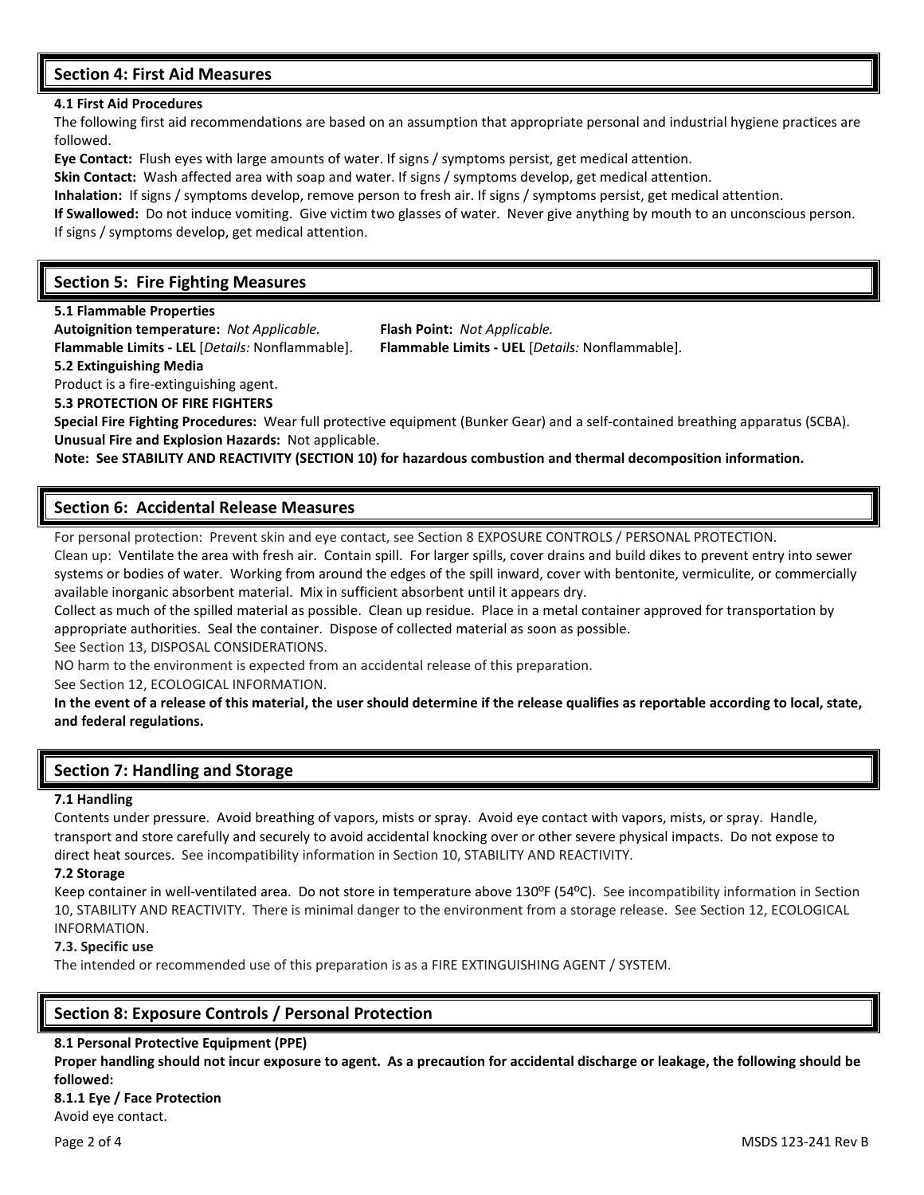# **Section 4: First Aid Measures**

#### **4.1 First Aid Procedures**

The following first aid recommendations are based on an assumption that appropriate personal and industrial hygiene practices are followed.

**Eye Contact:** Flush eyes with large amounts of water. If signs / symptoms persist, get medical attention.

**Skin Contact:** Wash affected area with soap and water. If signs / symptoms develop, get medical attention.

**Inhalation:** If signs / symptoms develop, remove person to fresh air. If signs / symptoms persist, get medical attention.

**If Swallowed:** Do not induce vomiting. Give victim two glasses of water. Never give anything by mouth to an unconscious person. If signs / symptoms develop, get medical attention.

# **Section 5: Fire Fighting Measures**

**5.1 Flammable Properties**

**Autoignition temperature:** *Not Applicable.* **Flash Point:** *Not Applicable.*

#### **5.2 Extinguishing Media**

**Flammable Limits - LEL** [*Details:* Nonflammable]. **Flammable Limits - UEL** [*Details:* Nonflammable].

Product is a fire-extinguishing agent.

**5.3 PROTECTION OF FIRE FIGHTERS**

**Special Fire Fighting Procedures:** Wear full protective equipment (Bunker Gear) and a self-contained breathing apparatus (SCBA). **Unusual Fire and Explosion Hazards:** Not applicable.

**Note: See STABILITY AND REACTIVITY (SECTION 10) for hazardous combustion and thermal decomposition information.**

# **Section 6: Accidental Release Measures**

For personal protection: Prevent skin and eye contact, see Section 8 EXPOSURE CONTROLS / PERSONAL PROTECTION.

Clean up: Ventilate the area with fresh air. Contain spill. For larger spills, cover drains and build dikes to prevent entry into sewer systems or bodies of water. Working from around the edges of the spill inward, cover with bentonite, vermiculite, or commercially available inorganic absorbent material. Mix in sufficient absorbent until it appears dry.

Collect as much of the spilled material as possible. Clean up residue. Place in a metal container approved for transportation by appropriate authorities. Seal the container. Dispose of collected material as soon as possible.

See Section 13, DISPOSAL CONSIDERATIONS.

NO harm to the environment is expected from an accidental release of this preparation.

See Section 12, ECOLOGICAL INFORMATION.

**In the event of a release of this material, the user should determine if the release qualifies as reportable according to local, state, and federal regulations.**

# **Section 7: Handling and Storage**

#### **7.1 Handling**

Contents under pressure. Avoid breathing of vapors, mists or spray. Avoid eye contact with vapors, mists, or spray. Handle, transport and store carefully and securely to avoid accidental knocking over or other severe physical impacts. Do not expose to direct heat sources. See incompatibility information in Section 10, STABILITY AND REACTIVITY.

#### **7.2 Storage**

Keep container in well-ventilated area. Do not store in temperature above 130ºF (54ºC). See incompatibility information in Section 10, STABILITY AND REACTIVITY. There is minimal danger to the environment from a storage release. See Section 12, ECOLOGICAL INFORMATION.

#### **7.3. Specific use**

The intended or recommended use of this preparation is as a FIRE EXTINGUISHING AGENT / SYSTEM.

# **Section 8: Exposure Controls / Personal Protection**

#### **8.1 Personal Protective Equipment (PPE)**

**Proper handling should not incur exposure to agent. As a precaution for accidental discharge or leakage, the following should be followed:**

**8.1.1 Eye / Face Protection** Avoid eye contact.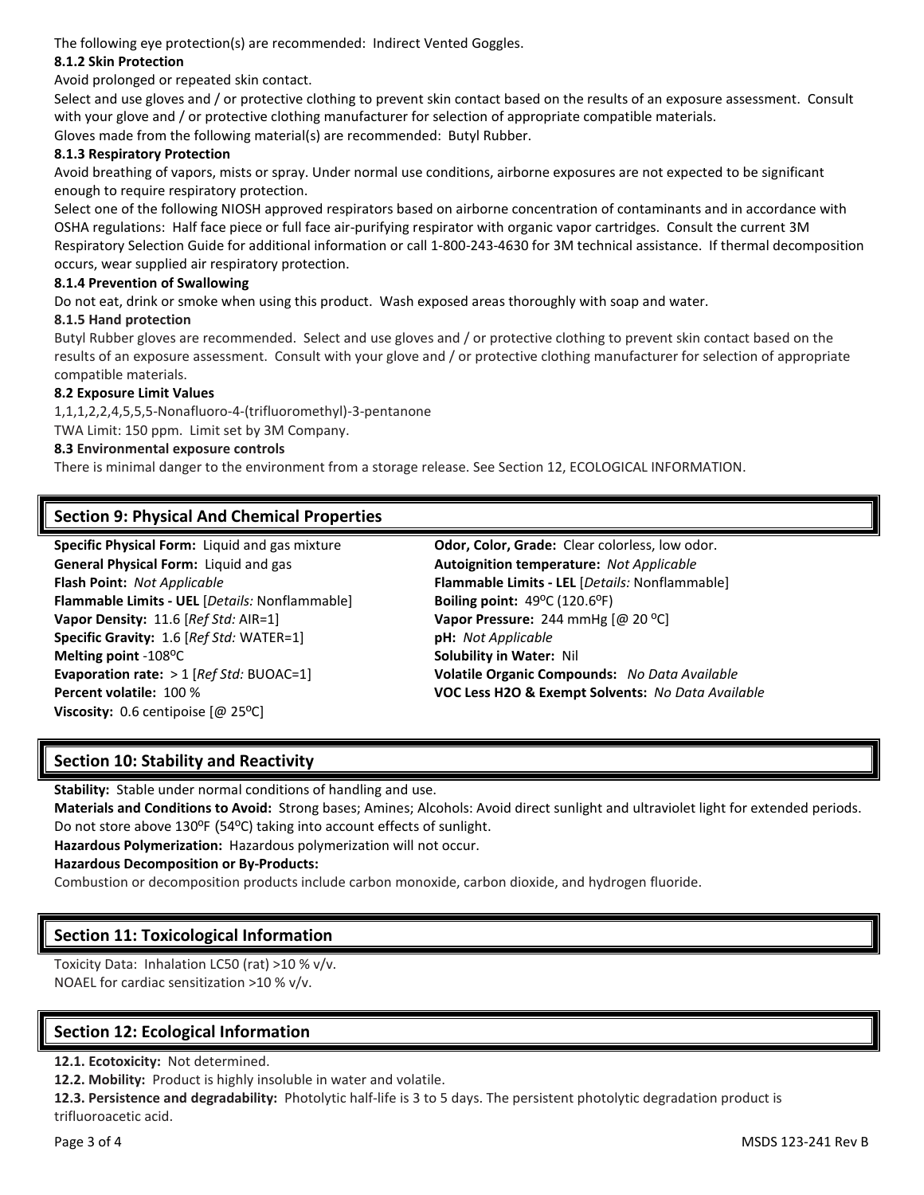The following eye protection(s) are recommended: Indirect Vented Goggles.

#### **8.1.2 Skin Protection**

Avoid prolonged or repeated skin contact.

Select and use gloves and / or protective clothing to prevent skin contact based on the results of an exposure assessment. Consult with your glove and / or protective clothing manufacturer for selection of appropriate compatible materials. Gloves made from the following material(s) are recommended: Butyl Rubber.

#### **8.1.3 Respiratory Protection**

Avoid breathing of vapors, mists or spray. Under normal use conditions, airborne exposures are not expected to be significant enough to require respiratory protection.

Select one of the following NIOSH approved respirators based on airborne concentration of contaminants and in accordance with OSHA regulations: Half face piece or full face air-purifying respirator with organic vapor cartridges. Consult the current 3M Respiratory Selection Guide for additional information or call 1-800-243-4630 for 3M technical assistance. If thermal decomposition occurs, wear supplied air respiratory protection.

#### **8.1.4 Prevention of Swallowing**

Do not eat, drink or smoke when using this product. Wash exposed areas thoroughly with soap and water.

#### **8.1.5 Hand protection**

Butyl Rubber gloves are recommended. Select and use gloves and / or protective clothing to prevent skin contact based on the results of an exposure assessment. Consult with your glove and / or protective clothing manufacturer for selection of appropriate compatible materials.

#### **8.2 Exposure Limit Values**

1,1,1,2,2,4,5,5,5-Nonafluoro-4-(trifluoromethyl)-3-pentanone

TWA Limit: 150 ppm. Limit set by 3M Company.

#### **8.3 Environmental exposure controls**

There is minimal danger to the environment from a storage release. See Section 12, ECOLOGICAL INFORMATION.

# **Section 9: Physical And Chemical Properties**

**Specific Physical Form:** Liquid and gas mixture **Odor, Color, Grade:** Clear colorless, low odor. **General Physical Form:** Liquid and gas **Autoignition temperature:** *Not Applicable* **Flammable Limits - UEL** [*Details:* Nonflammable] **Boiling point:** 49ºC (120.6ºF) **Vapor Density:** 11.6 [*Ref Std:* AIR=1] **Vapor Pressure:** 244 mmHg [@ 20 ºC] **Specific Gravity:** 1.6 [*Ref Std:* WATER=1] **pH:** *Not Applicable* **Melting point -108°C Solubility in Water: Nil** Solubility in Water: Nil **Viscosity:** 0.6 centipoise [@ 25<sup>o</sup>C]

**Flash Point:** *Not Applicable* **Flammable Limits - LEL** [*Details:* Nonflammable] **Evaporation rate:** > 1 [*Ref Std:* BUOAC=1] **Volatile Organic Compounds:** *No Data Available* **Percent volatile:** 100 % **VOC Less H2O & Exempt Solvents:** *No Data Available*

# **Section 10: Stability and Reactivity**

**Stability:** Stable under normal conditions of handling and use.

**Materials and Conditions to Avoid:** Strong bases; Amines; Alcohols: Avoid direct sunlight and ultraviolet light for extended periods. Do not store above 130ºF (54ºC) taking into account effects of sunlight.

**Hazardous Polymerization:** Hazardous polymerization will not occur.

#### **Hazardous Decomposition or By-Products:**

Combustion or decomposition products include carbon monoxide, carbon dioxide, and hydrogen fluoride.

# **Section 11: Toxicological Information**

Toxicity Data: Inhalation LC50 (rat) >10 % v/v. NOAEL for cardiac sensitization >10 % v/v.

# **Section 12: Ecological Information**

**12.1. Ecotoxicity:** Not determined.

**12.2. Mobility:** Product is highly insoluble in water and volatile.

**12.3. Persistence and degradability:** Photolytic half-life is 3 to 5 days. The persistent photolytic degradation product is trifluoroacetic acid.